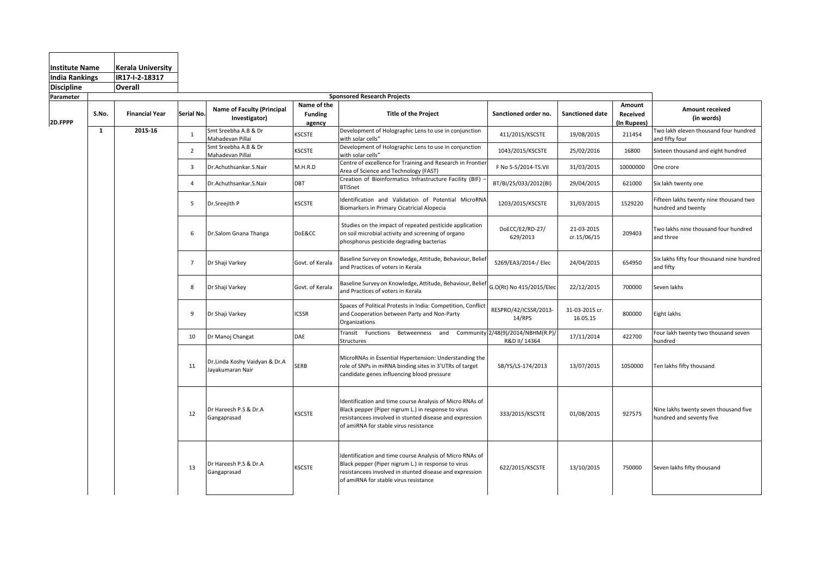| <b>Institute Name</b>        |              | <b>Kerala University</b> |                 |                                                    |                                         |                                                                                                                                                                                                                     |                                 |                            |                                   |                                                                   |
|------------------------------|--------------|--------------------------|-----------------|----------------------------------------------------|-----------------------------------------|---------------------------------------------------------------------------------------------------------------------------------------------------------------------------------------------------------------------|---------------------------------|----------------------------|-----------------------------------|-------------------------------------------------------------------|
| <b>India Rankings</b>        |              | IR17-I-2-18317           |                 |                                                    |                                         |                                                                                                                                                                                                                     |                                 |                            |                                   |                                                                   |
| <b>Discipline</b><br>Overall |              |                          |                 |                                                    |                                         |                                                                                                                                                                                                                     |                                 |                            |                                   |                                                                   |
| Parameter                    |              |                          |                 |                                                    |                                         | <b>Sponsored Research Projects</b>                                                                                                                                                                                  |                                 |                            |                                   |                                                                   |
| 2D.FPPP                      | S.No.        | <b>Financial Year</b>    | Serial No.      | <b>Name of Faculty (Principal</b><br>Investigator) | Name of the<br><b>Funding</b><br>agency | <b>Title of the Project</b>                                                                                                                                                                                         | Sanctioned order no.            | Sanctioned date            | Amount<br>Received<br>(In Rupees) | <b>Amount received</b><br>(in words)                              |
|                              | $\mathbf{1}$ | 2015-16                  | $\mathbf{1}$    | Smt Sreebha A.B & Dr<br>Mahadevan Pillai           | KSCSTE                                  | Development of Holographic Lens to use in conjunction<br>with solar cells"                                                                                                                                          | 411/2015/KSCSTE                 | 19/08/2015                 | 211454                            | Two lakh eleven thousand four hundred<br>and fifty four           |
|                              |              |                          | $\overline{2}$  | Smt Sreebha A.B & Dr<br>Mahadevan Pillai           | <b>KSCSTE</b>                           | Development of Holographic Lens to use in conjunction<br>with solar cells"                                                                                                                                          | 1043/2015/KSCSTE                | 25/02/2016                 | 16800                             | Sixteen thousand and eight hundred                                |
|                              |              |                          | $\overline{3}$  | Dr.Achuthsankar.S.Nair                             | M.H.R.D                                 | Centre of excellence for Training and Research in Frontier<br>Area of Science and Technology (FAST)                                                                                                                 | F No 5-5/2014-TS.VII            | 31/03/2015                 | 10000000                          | One crore                                                         |
|                              |              |                          | $\overline{4}$  | Dr.Achuthsankar.S.Nair                             | DBT                                     | Creation of Bioinformatics Infrastructure Facility (BIF) -<br><b>BTISnet</b>                                                                                                                                        | BT/BI/25/033/2012(BI)           | 29/04/2015                 | 621000                            | Six lakh twenty one                                               |
|                              |              |                          | 5               | Dr.Sreejith P                                      | <b>KSCSTE</b>                           | Identification and Validation of Potential MicroRNA<br>Biomarkers in Primary Cicatricial Alopecia                                                                                                                   | 1203/2015/KSCSTE                | 31/03/2015                 | 1529220                           | Fifteen lakhs twenty nine thousand two<br>hundred and twenty      |
|                              |              |                          | 6               | Dr.Salom Gnana Thanga                              | DoE&CC                                  | Studies on the impact of repeated pesticide application<br>on soil microbial activity and screening of organo<br>phosphorus pesticide degrading bacterias                                                           | DoECC/E2/RD-27/<br>629/2013     | 21-03-2015<br>cr.15/06/15  | 209403                            | Two lakhs nine thousand four hundred<br>and three                 |
|                              |              |                          | $7\overline{ }$ | Dr Shaji Varkey                                    | Govt. of Kerala                         | Baseline Survey on Knowledge, Attitude, Behaviour, Beliet<br>and Practices of voters in Kerala                                                                                                                      | 5269/EA3/2014-/ Elec            | 24/04/2015                 | 654950                            | Six lakhs fifty four thousand nine hundred<br>and fifty           |
|                              |              |                          | 8               | Dr Shaji Varkey                                    | Govt. of Kerala                         | Baseline Survey on Knowledge, Attitude, Behaviour, Beliet<br>and Practices of voters in Kerala                                                                                                                      | G.O(Rt) No 415/2015/Elec        | 22/12/2015                 | 700000                            | Seven lakhs                                                       |
|                              |              |                          | 9               | Dr Shaji Varkey                                    | <b>ICSSR</b>                            | Spaces of Political Protests in India: Competition, Conflict<br>and Cooperation between Party and Non-Party<br>Organizations                                                                                        | RESPRO/42/ICSSR/2013-<br>14/RPS | 31-03-2015 cr.<br>16.05.15 | 800000                            | Eight lakhs                                                       |
|                              |              |                          | 10              | Dr Manoj Changat                                   | DAE                                     | Transit Functions Betweenness and Community 2/48(9)/2014/NBHM(R.P)/<br>Structures                                                                                                                                   | R&D II/ 14364                   | 17/11/2014                 | 422700                            | Four lakh twenty two thousand seven<br>hundred                    |
|                              |              |                          | 11              | Dr.Linda Koshy Vaidyan & Dr.A<br>Jayakumaran Nair  | SERB                                    | MicroRNAs in Essential Hypertension: Understanding the<br>role of SNPs in miRNA binding sites in 3'UTRs of target<br>candidate genes influencing blood pressure                                                     | SB/YS/LS-174/2013               | 13/07/2015                 | 1050000                           | Ten lakhs fifty thousand                                          |
|                              |              |                          | 12              | Dr Hareesh P.S & Dr.A<br>Gangaprasad               | <b>KSCSTE</b>                           | Identification and time course Analysis of Micro RNAs of<br>Black pepper (Piper nigrum L.) in response to virus<br>resistancees involved in stunted disease and expression<br>of amiRNA for stable virus resistance | 333/2015/KSCSTE                 | 01/08/2015                 | 927575                            | Nine lakhs twenty seven thousand five<br>hundred and seventy five |
|                              |              |                          | 13              | Dr Hareesh P.S & Dr.A<br>Gangaprasad               | <b>KSCSTE</b>                           | Identification and time course Analysis of Micro RNAs of<br>Black pepper (Piper nigrum L.) in response to virus<br>resistancees involved in stunted disease and expression<br>of amiRNA for stable virus resistance | 622/2015/KSCSTE                 | 13/10/2015                 | 750000                            | Seven lakhs fifty thousand                                        |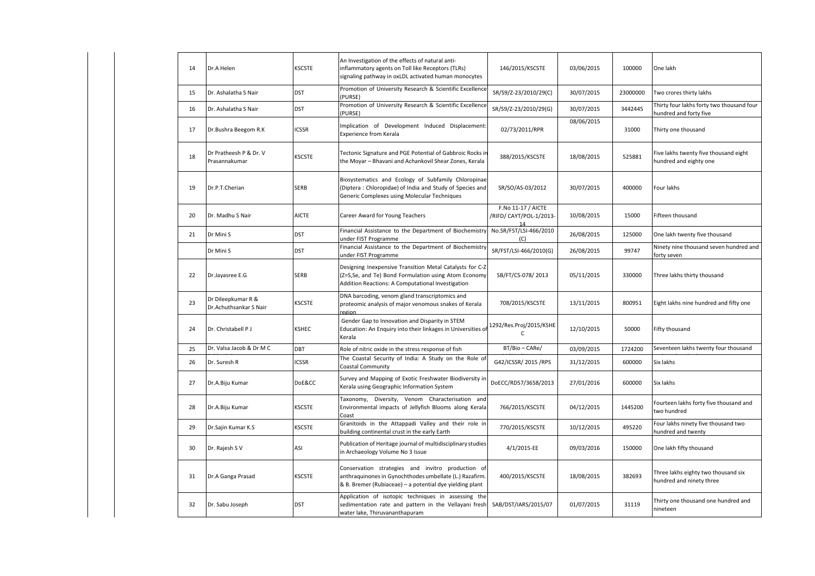| 14 | Dr.A Helen                                   | <b>KSCSTE</b> | An Investigation of the effects of natural anti-<br>inflammatory agents on Toll like Receptors (TLRs)<br>signaling pathway in oxLDL activated human monocytes            | 146/2015/KSCSTE                               | 03/06/2015 | 100000   | One lakh                                                            |
|----|----------------------------------------------|---------------|--------------------------------------------------------------------------------------------------------------------------------------------------------------------------|-----------------------------------------------|------------|----------|---------------------------------------------------------------------|
| 15 | Dr. Ashalatha S Nair                         | <b>DST</b>    | Promotion of University Research & Scientific Excellence<br>(PURSE)                                                                                                      | SR/S9/Z-23/2010/29(C)                         | 30/07/2015 | 23000000 | Two crores thirty lakhs                                             |
| 16 | Dr. Ashalatha S Nair                         | <b>DST</b>    | Promotion of University Research & Scientific Excellence<br>(PURSE)                                                                                                      | SR/S9/Z-23/2010/29(G)                         | 30/07/2015 | 3442445  | Thirty four lakhs forty two thousand four<br>hundred and forty five |
| 17 | Dr.Bushra Beegom R.K                         | <b>ICSSR</b>  | Implication of Development Induced Displacement:<br>Experience from Kerala                                                                                               | 02/73/2011/RPR                                | 08/06/2015 | 31000    | Thirty one thousand                                                 |
| 18 | Dr Pratheesh P & Dr. V<br>Prasannakumar      | KSCSTE        | Tectonic Signature and PGE Potential of Gabbroic Rocks in<br>the Moyar - Bhavani and Achankovil Shear Zones, Kerala                                                      | 388/2015/KSCSTE                               | 18/08/2015 | 525881   | Five lakhs twenty five thousand eight<br>hundred and eighty one     |
| 19 | Dr.P.T.Cherian                               | SERB          | Biosystematics and Ecology of Subfamily Chloropinae<br>(Diptera: Chloropidae) of India and Study of Species and<br>Generic Complexes using Molecular Techniques          | SR/SO/AS-03/2012                              | 30/07/2015 | 400000   | Four lakhs                                                          |
| 20 | Dr. Madhu S Nair                             | <b>AICTE</b>  | Career Award for Young Teachers                                                                                                                                          | F.No 11-17 / AICTE<br>/RIFD/ CAYT/POL-1/2013- | 10/08/2015 | 15000    | Fifteen thousand                                                    |
| 21 | Dr Mini S                                    | <b>DST</b>    | Financial Assistance to the Department of Biochemistry<br>under FIST Programme                                                                                           | No.SR/FST/LSI-466/2010<br>(C)                 | 26/08/2015 | 125000   | One lakh twenty five thousand                                       |
|    | Dr Mini S                                    | <b>DST</b>    | Financial Assistance to the Department of Biochemistry<br>under FIST Programme                                                                                           | SR/FST/LSI-466/2010(G)                        | 26/08/2015 | 99747    | Ninety nine thousand seven hundred and<br>forty seven               |
| 22 | Dr.Jayasree E.G                              | <b>SERB</b>   | Designing Inexpensive Transition Metal Catalysts for C-Z<br>(Z=S,Se, and Te) Bond Formulation using Atom Economy<br>Addition Reactions: A Computational Investigation    | SB/FT/CS-078/2013                             | 05/11/2015 | 330000   | Three lakhs thirty thousand                                         |
| 23 | Dr Dileepkumar R &<br>Dr.Achuthsankar S Nair | <b>KSCSTE</b> | DNA barcoding, venom gland transcriptomics and<br>proteomic analysis of major venomous snakes of Kerala<br>region                                                        | 708/2015/KSCSTE                               | 13/11/2015 | 800951   | Eight lakhs nine hundred and fifty one                              |
| 24 | Dr. Christabell P J                          | <b>KSHEC</b>  | Gender Gap to Innovation and Disparity in STEM<br>Education: An Enquiry into their linkages in Universities o<br>Kerala                                                  | 1292/Res.Proj/2015/KSHE<br>C                  | 12/10/2015 | 50000    | Fifty thousand                                                      |
| 25 | Dr. Valsa Jacob & Dr M C                     | DBT           | Role of nitric oxide in the stress response of fish                                                                                                                      | BT/Bio-CARe/                                  | 03/09/2015 | 1724200  | Seventeen lakhs twenty four thousand                                |
| 26 | Dr. Suresh R                                 | <b>ICSSR</b>  | The Coastal Security of India: A Study on the Role of<br>Coastal Community                                                                                               | G42/ICSSR/ 2015 /RPS                          | 31/12/2015 | 600000   | Six lakhs                                                           |
| 27 | Dr.A.Biju Kumar                              | DoE&CC        | Survey and Mapping of Exotic Freshwater Biodiversity in<br>Kerala using Geographic Information System                                                                    | DoECC/RD57/3658/2013                          | 27/01/2016 | 600000   | Six lakhs                                                           |
| 28 | Dr.A.Biju Kumar                              | <b>KSCSTE</b> | Taxonomy, Diversity, Venom Characterisation and<br>Environmental impacts of Jellyfish Blooms along Kerala<br>Coast                                                       | 766/2015/KSCSTE                               | 04/12/2015 | 1445200  | Fourteen lakhs forty five thousand and<br>two hundred               |
| 29 | Dr.Sajin Kumar K.S                           | <b>KSCSTE</b> | Granitoids in the Attappadi Valley and their role in<br>building continental crust in the early Earth                                                                    | 770/2015/KSCSTE                               | 10/12/2015 | 495220   | Four lakhs ninety five thousand two<br>hundred and twenty           |
| 30 | Dr. Rajesh SV                                | ASI           | Publication of Heritage journal of multidisciplinary studies<br>in Archaeology Volume No 3 Issue                                                                         | 4/1/2015-EE                                   | 09/03/2016 | 150000   | One lakh fifty thousand                                             |
| 31 | Dr.A Ganga Prasad                            | KSCSTE        | Conservation strategies and invitro production of<br>anthraquinones in Gynochthodes umbellate (L.) Razafirm.<br>& B. Bremer (Rubiaceae) - a potential dye yielding plant | 400/2015/KSCSTE                               | 18/08/2015 | 382693   | Three lakhs eighty two thousand six<br>hundred and ninety three     |
| 32 | Dr. Sabu Joseph                              | <b>DST</b>    | Application of isotopic techniques in assessing the<br>sedimentation rate and pattern in the Vellayani fresh<br>water lake, Thiruvananthapuram                           | SAB/DST/IARS/2015/07                          | 01/07/2015 | 31119    | Thirty one thousand one hundred and<br>nineteen                     |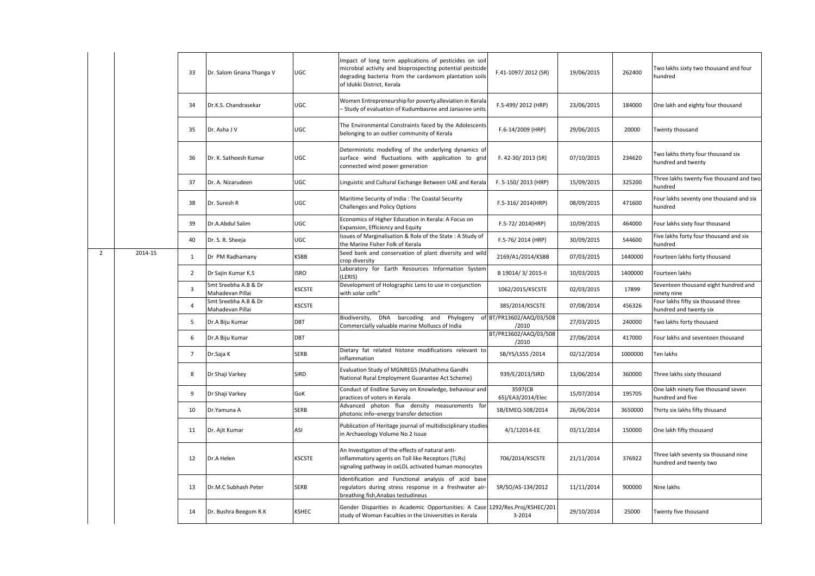|                |         | 33                      | Dr. Salom Gnana Thanga V                 | UGC           | Impact of long term applications of pesticides on soil<br>microbial activity and bioprospecting potential pesticide<br>degrading bacteria from the cardamom plantation soils<br>of Idukki District, Kerala | F.41-1097/2012 (SR)               | 19/06/2015 | 262400  | Two lakhs sixty two thousand and four<br>hundred               |
|----------------|---------|-------------------------|------------------------------------------|---------------|------------------------------------------------------------------------------------------------------------------------------------------------------------------------------------------------------------|-----------------------------------|------------|---------|----------------------------------------------------------------|
|                |         | 34                      | Dr.K.S. Chandrasekar                     | UGC           | Women Entrepreneurship for poverty alleviation in Kerala<br>- Study of evaluation of Kudumbasree and Janasree units                                                                                        | F.5-499/2012 (HRP)                | 23/06/2015 | 184000  | One lakh and eighty four thousand                              |
|                |         | 35                      | Dr. Asha J V                             | UGC           | The Environmental Constraints faced by the Adolescents<br>belonging to an outlier community of Kerala                                                                                                      | F.6-14/2009 (HRP)                 | 29/06/2015 | 20000   | Twenty thousand                                                |
|                |         | 36                      | Dr. K. Satheesh Kumar                    | UGC           | Deterministic modelling of the underlying dynamics of<br>surface wind fluctuations with application to grid<br>connected wind power generation                                                             | F. 42-30/2013 (SR)                | 07/10/2015 | 234620  | Two lakhs thirty four thousand six<br>hundred and twenty       |
|                |         | 37                      | Dr. A. Nizarudeen                        | UGC           | Linguistic and Cultural Exchange Between UAE and Kerala                                                                                                                                                    | F. 5-150/2013 (HRP)               | 15/09/2015 | 325200  | Three lakhs twenty five thousand and two<br>hundred            |
|                |         | 38                      | Dr. Suresh R                             | UGC           | Maritime Security of India : The Coastal Security<br>Challenges and Policy Options                                                                                                                         | F.5-316/2014(HRP)                 | 08/09/2015 | 471600  | Four lakhs seventy one thousand and six<br>hundred             |
|                |         | 39                      | Dr.A.Abdul Salim                         | UGC           | Economics of Higher Education in Kerala: A Focus on<br>Expansion, Efficiency and Equity                                                                                                                    | F.5-72/2014(HRP)                  | 10/09/2015 | 464000  | Four lakhs sixty four thousand                                 |
|                |         | 40                      | Dr. S. R. Sheeja                         | UGC           | Issues of Marginalisation & Role of the State: A Study of<br>the Marine Fisher Folk of Kerala                                                                                                              | F.5-76/2014 (HRP)                 | 30/09/2015 | 544600  | Five lakhs forty four thousand and six<br>hundred              |
| $\overline{2}$ | 2014-15 | $\mathbf{1}$            | Dr PM Radhamany                          | <b>KSBB</b>   | Seed bank and conservation of plant diversity and wild<br>crop diversity                                                                                                                                   | 2169/A1/2014/KSBB                 | 07/03/2015 | 1440000 | Fourteen lakhs forty thousand                                  |
|                |         | $\overline{2}$          | Dr Sajin Kumar K.S                       | <b>ISRO</b>   | Laboratory for Earth Resources Information System<br>LERIS)                                                                                                                                                | B 19014/3/2015-II                 | 10/03/2015 | 1400000 | Fourteen lakhs                                                 |
|                |         | $\overline{\mathbf{3}}$ | Smt Sreebha A.B & Dr<br>Mahadevan Pillai | <b>KSCSTE</b> | Development of Holographic Lens to use in conjunction<br>with solar cells"                                                                                                                                 | 1062/2015/KSCSTE                  | 02/03/2015 | 17899   | Seventeen thousand eight hundred and<br>ninety nine            |
|                |         | $\overline{4}$          | Smt Sreebha A.B & Dr<br>Mahadevan Pillai | <b>KSCSTE</b> |                                                                                                                                                                                                            | 385/2014/KSCSTE                   | 07/08/2014 | 456326  | Four lakhs fifty six thousand three<br>hundred and twenty six  |
|                |         | 5                       | Dr.A Biju Kumar                          | DBT           | Biodiversity,<br>DNA barcoding and Phylogeny<br>Commercially valuable marine Molluscs of India                                                                                                             | of BT/PR13602/AAQ/03/508<br>/2010 | 27/03/2015 | 240000  | Two lakhs forty thousand                                       |
|                |         | 6                       | Dr.A Biju Kumar                          | DBT           |                                                                                                                                                                                                            | BT/PR13602/AAQ/03/508<br>/2010    | 27/06/2014 | 417000  | Four lakhs and seventeen thousand                              |
|                |         | $\overline{7}$          | Dr.Saja K                                | <b>SERB</b>   | Dietary fat related histone modifications relevant to<br>inflammation                                                                                                                                      | SB/YS/LS55 /2014                  | 02/12/2014 | 1000000 | Ten lakhs                                                      |
|                |         | 8                       | Dr Shaji Varkey                          | <b>SIRD</b>   | Evaluation Study of MGNREGS (Mahathma Gandhi<br>National Rural Employment Guarantee Act Scheme)                                                                                                            | 939/E/2013/SIRD                   | 13/06/2014 | 360000  | Three lakhs sixty thousand                                     |
|                |         | 9                       | Dr Shaji Varkey                          | GoK           | Conduct of Endline Survey on Knowledge, behaviour and<br>practices of voters in Kerala                                                                                                                     | 3597(CB<br>65)/EA3/2014/Elec      | 15/07/2014 | 195705  | One lakh ninety five thousand seven<br>hundred and five        |
|                |         | 10                      | Dr.Yamuna A                              | <b>SERB</b>   | Advanced photon flux density measurements for<br>photonic info-energy transfer detection                                                                                                                   | SB/EMEQ-508/2014                  | 26/06/2014 | 3650000 | Thirty six lakhs fifty thiusand                                |
|                |         | 11                      | Dr. Ajit Kumar                           | ASI           | Publication of Heritage journal of multidisciplinary studies<br>in Archaeology Volume No 2 Issue                                                                                                           | 4/1/12014-EE                      | 03/11/2014 | 150000  | One lakh fifty thousand                                        |
|                |         | 12                      | Dr.A Helen                               | <b>KSCSTE</b> | An Investigation of the effects of natural anti-<br>inflammatory agents on Toll like Receptors (TLRs)<br>signaling pathway in oxLDL activated human monocytes                                              | 706/2014/KSCSTE                   | 21/11/2014 | 376922  | Three lakh seventy six thousand nine<br>hundred and twenty two |
|                |         | 13                      | Dr.M.C Subhash Peter                     | SERB          | Identification and Functional analysis of acid base<br>regulators during stress response in a freshwater air-<br>breathing fish, Anabas testudineus                                                        | SR/SO/AS-134/2012                 | 11/11/2014 | 900000  | Nine lakhs                                                     |
|                |         | 14                      | Dr. Bushra Beegom R.K                    | <b>KSHEC</b>  | Gender Disparities in Academic Opportunities: A Case 1292/Res.Proj/KSHEC/201<br>study of Woman Faculties in the Universities in Kerala                                                                     | 3-2014                            | 29/10/2014 | 25000   | Twenty five thousand                                           |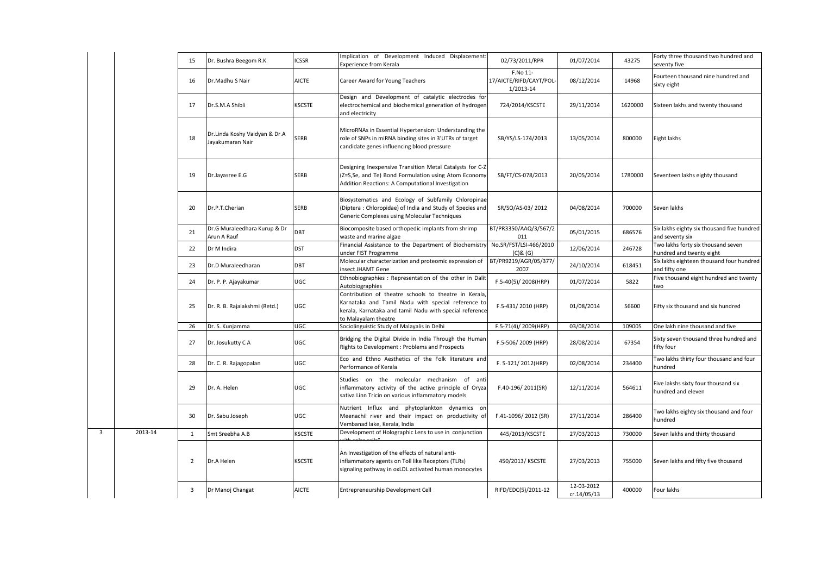|   |         | 15             | Dr. Bushra Beegom R.K                             | <b>ICSSR</b>  | Implication of Development Induced Displacement:<br>Experience from Kerala                                                                                                                     | 02/73/2011/RPR                                   | 01/07/2014                | 43275   | Forty three thousand two hundred and<br>seventy five           |
|---|---------|----------------|---------------------------------------------------|---------------|------------------------------------------------------------------------------------------------------------------------------------------------------------------------------------------------|--------------------------------------------------|---------------------------|---------|----------------------------------------------------------------|
|   |         | 16             | Dr.Madhu S Nair                                   | <b>AICTE</b>  | Career Award for Young Teachers                                                                                                                                                                | F.No 11-<br>17/AICTE/RIFD/CAYT/POL-<br>1/2013-14 | 08/12/2014                | 14968   | Fourteen thousand nine hundred and<br>sixty eight              |
|   |         | 17             | Dr.S.M.A Shibli                                   | <b>KSCSTE</b> | Design and Development of catalytic electrodes for<br>electrochemical and biochemical generation of hydrogen<br>and electricity                                                                | 724/2014/KSCSTE                                  | 29/11/2014                | 1620000 | Sixteen lakhs and twenty thousand                              |
|   |         | 18             | Dr.Linda Koshy Vaidyan & Dr.A<br>Jayakumaran Nair | <b>SERB</b>   | MicroRNAs in Essential Hypertension: Understanding the<br>role of SNPs in miRNA binding sites in 3'UTRs of target<br>candidate genes influencing blood pressure                                | SB/YS/LS-174/2013                                | 13/05/2014                | 800000  | Eight lakhs                                                    |
|   |         | 19             | Dr.Jayasree E.G                                   | <b>SERB</b>   | Designing Inexpensive Transition Metal Catalysts for C-Z<br>(Z=S,Se, and Te) Bond Formulation using Atom Economy<br>Addition Reactions: A Computational Investigation                          | SB/FT/CS-078/2013                                | 20/05/2014                | 1780000 | Seventeen lakhs eighty thousand                                |
|   |         | 20             | Dr.P.T.Cherian                                    | <b>SERB</b>   | Biosystematics and Ecology of Subfamily Chloropinae<br>(Diptera: Chloropidae) of India and Study of Species and<br>Generic Complexes using Molecular Techniques                                | SR/SO/AS-03/2012                                 | 04/08/2014                | 700000  | Seven lakhs                                                    |
|   |         | 21             | Dr.G Muraleedhara Kurup & Dr<br>Arun A Rauf       | DBT           | Biocomposite based orthopedic implants from shrimp<br>waste and marine algae                                                                                                                   | BT/PR3350/AAQ/3/567/2<br>011                     | 05/01/2015                | 686576  | Six lakhs eighty six thousand five hundred<br>and seventy six  |
|   |         | 22             | Dr M Indira                                       | <b>DST</b>    | Financial Assistance to the Department of Biochemistr<br>under FIST Programme                                                                                                                  | No.SR/FST/LSI-466/2010<br>$(C)$ & $(G)$          | 12/06/2014                | 246728  | Two lakhs forty six thousand seven<br>hundred and twenty eight |
|   |         | 23             | Dr.D Muraleedharan                                | DBT           | Molecular characterization and proteomic expression of<br>insect JHAMT Gene                                                                                                                    | BT/PR9219/AGR/05/377/<br>2007                    | 24/10/2014                | 618451  | Six lakhs eighteen thousand four hundred<br>and fifty one      |
|   |         | 24             | Dr. P. P. Ajayakumar                              | <b>UGC</b>    | Ethnobiographies : Representation of the other in Dalit<br>Autobiographies                                                                                                                     | F.5-40(5)/2008(HRP)                              | 01/07/2014                | 5822    | Five thousand eight hundred and twenty<br>two                  |
|   |         | 25             | Dr. R. B. Rajalakshmi (Retd.)                     | <b>UGC</b>    | Contribution of theatre schools to theatre in Kerala,<br>Karnataka and Tamil Nadu with special reference to<br>kerala, Karnataka and tamil Nadu with special reference<br>to Malayalam theatre | F.5-431/2010 (HRP)                               | 01/08/2014                | 56600   | Fifty six thousand and six hundred                             |
|   |         | 26             | Dr. S. Kunjamma                                   | UGC           | Sociolinguistic Study of Malayalis in Delhi                                                                                                                                                    | F.5-71(4)/2009(HRP)                              | 03/08/2014                | 109005  | One lakh nine thousand and five                                |
|   |         | 27             | Dr. Josukutty C A                                 | UGC           | Bridging the Digital Divide in India Through the Human<br>Rights to Development: Problems and Prospects                                                                                        | F.5-506/2009 (HRP)                               | 28/08/2014                | 67354   | Sixty seven thousand three hundred and<br>fifty four           |
|   |         | 28             | Dr. C. R. Rajagopalan                             | <b>UGC</b>    | Eco and Ethno Aesthetics of the Folk literature and<br>Performance of Kerala                                                                                                                   | F. 5-121/2012(HRP)                               | 02/08/2014                | 234400  | Two lakhs thirty four thousand and four<br>hundred             |
|   |         | 29             | Dr. A. Helen                                      | UGC           | Studies on the molecular mechanism of anti<br>inflammatory activity of the active principle of Oryza<br>sativa Linn Tricin on various inflammatory models                                      | F.40-196/2011(SR)                                | 12/11/2014                | 564611  | Five lakshs sixty four thousand six<br>hundred and eleven      |
|   |         | 30             | Dr. Sabu Joseph                                   | UGC           | Nutrient Influx and phytoplankton dynamics on<br>Meenachil river and their impact on productivity of<br>Vembanad lake, Kerala, India                                                           | F.41-1096/2012 (SR)                              | 27/11/2014                | 286400  | Two lakhs eighty six thousand and four<br>hundred              |
| 3 | 2013-14 | $\mathbf{1}$   | Smt Sreebha A.B                                   | <b>KSCSTE</b> | Development of Holographic Lens to use in conjunction                                                                                                                                          | 445/2013/KSCSTE                                  | 27/03/2013                | 730000  | Seven lakhs and thirty thousand                                |
|   |         | $\overline{2}$ | Dr.A Helen                                        | <b>KSCSTE</b> | An Investigation of the effects of natural anti-<br>inflammatory agents on Toll like Receptors (TLRs)<br>signaling pathway in oxLDL activated human monocytes                                  | 450/2013/ KSCSTE                                 | 27/03/2013                | 755000  | Seven lakhs and fifty five thousand                            |
|   |         | 3              | Dr Manoj Changat                                  | <b>AICTE</b>  | Entrepreneurship Development Cell                                                                                                                                                              | RIFD/EDC(5)/2011-12                              | 12-03-2012<br>cr.14/05/13 | 400000  | Four lakhs                                                     |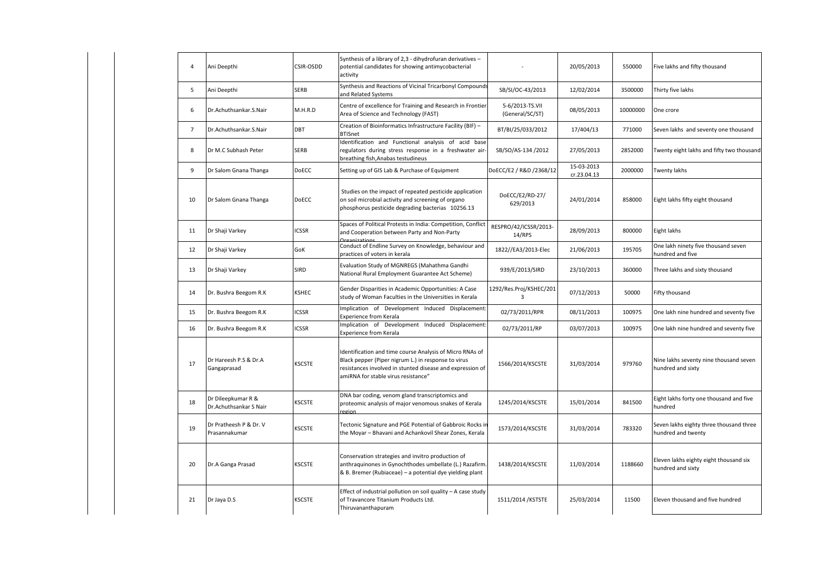| $\overline{4}$ | Ani Deepthi                                  | CSIR-OSDD     | Synthesis of a library of 2,3 - dihydrofuran derivatives -<br>potential candidates for showing antimycobacterial<br>activity                                                                                        |                                           | 20/05/2013                | 550000   | Five lakhs and fifty thousand                                 |
|----------------|----------------------------------------------|---------------|---------------------------------------------------------------------------------------------------------------------------------------------------------------------------------------------------------------------|-------------------------------------------|---------------------------|----------|---------------------------------------------------------------|
| 5              | Ani Deepthi                                  | <b>SERB</b>   | Synthesis and Reactions of Vicinal Tricarbonyl Compounds<br>and Related Systems                                                                                                                                     | SB/SI/OC-43/2013                          | 12/02/2014                | 3500000  | Thirty five lakhs                                             |
| 6              | Dr.Achuthsankar.S.Nair                       | M.H.R.D       | Centre of excellence for Training and Research in Frontier<br>Area of Science and Technology (FAST)                                                                                                                 | 5-6/2013-TS.VII<br>(General/SC/ST)        | 08/05/2013                | 10000000 | One crore                                                     |
| $\overline{7}$ | Dr.Achuthsankar.S.Nair                       | DBT           | Creation of Bioinformatics Infrastructure Facility (BIF) -<br><b>BTISnet</b>                                                                                                                                        | BT/BI/25/033/2012                         | 17/404/13                 | 771000   | Seven lakhs and seventy one thousand                          |
| 8              | Dr M.C Subhash Peter                         | <b>SERB</b>   | Identification and Functional analysis of acid base<br>regulators during stress response in a freshwater air-<br>breathing fish, Anabas testudineus                                                                 | SB/SO/AS-134 /2012                        | 27/05/2013                | 2852000  | Twenty eight lakhs and fifty two thousand                     |
| 9              | Dr Salom Gnana Thanga                        | DoECC         | Setting up of GIS Lab & Purchase of Equipment                                                                                                                                                                       | DoECC/E2 / R&D /2368/12                   | 15-03-2013<br>cr.23.04.13 | 2000000  | Twenty lakhs                                                  |
| 10             | Dr Salom Gnana Thanga                        | <b>DoECC</b>  | Studies on the impact of repeated pesticide application<br>on soil microbial activity and screening of organo<br>phosphorus pesticide degrading bacterias 10256.13                                                  | DoECC/E2/RD-27/<br>629/2013               | 24/01/2014                | 858000   | Eight lakhs fifty eight thousand                              |
| 11             | Dr Shaji Varkey                              | <b>ICSSR</b>  | Spaces of Political Protests in India: Competition, Conflict<br>and Cooperation between Party and Non-Party<br>Organizations                                                                                        | RESPRO/42/ICSSR/2013-<br>14/RPS           | 28/09/2013                | 800000   | Eight lakhs                                                   |
| 12             | Dr Shaji Varkey                              | GoK           | Conduct of Endline Survey on Knowledge, behaviour and<br>practices of voters in kerala                                                                                                                              | 1822//EA3/2013-Elec                       | 21/06/2013                | 195705   | One lakh ninety five thousand seven<br>hundred and five       |
| 13             | Dr Shaji Varkey                              | SIRD          | Evaluation Study of MGNREGS (Mahathma Gandhi<br>National Rural Employment Guarantee Act Scheme)                                                                                                                     | 939/E/2013/SIRD                           | 23/10/2013                | 360000   | Three lakhs and sixty thousand                                |
| 14             | Dr. Bushra Beegom R.K                        | KSHEC         | Gender Disparities in Academic Opportunities: A Case<br>study of Woman Faculties in the Universities in Kerala                                                                                                      | 1292/Res.Proj/KSHEC/201<br>$\overline{3}$ | 07/12/2013                | 50000    | Fifty thousand                                                |
| 15             | Dr. Bushra Beegom R.K                        | <b>ICSSR</b>  | Implication of Development Induced Displacement:<br>Experience from Kerala                                                                                                                                          | 02/73/2011/RPR                            | 08/11/2013                | 100975   | One lakh nine hundred and seventy five                        |
| 16             | Dr. Bushra Beegom R.K                        | ICSSR         | Implication of Development Induced Displacement:<br>Experience from Kerala                                                                                                                                          | 02/73/2011/RP                             | 03/07/2013                | 100975   | One lakh nine hundred and seventy five                        |
| 17             | Dr Hareesh P.S & Dr.A<br>Gangaprasad         | <b>KSCSTE</b> | Identification and time course Analysis of Micro RNAs of<br>Black pepper (Piper nigrum L.) in response to virus<br>resistances involved in stunted disease and expression of<br>amiRNA for stable virus resistance" | 1566/2014/KSCSTE                          | 31/03/2014                | 979760   | Nine lakhs seventy nine thousand seven<br>hundred and sixty   |
| 18             | Dr Dileepkumar R &<br>Dr.Achuthsankar S Nair | KSCSTE        | DNA bar coding, venom gland transcriptomics and<br>proteomic analysis of major venomous snakes of Kerala<br>region                                                                                                  | 1245/2014/KSCSTE                          | 15/01/2014                | 841500   | Eight lakhs forty one thousand and five<br>hundred            |
| 19             | Dr Pratheesh P & Dr. V<br>Prasannakumar      | <b>KSCSTE</b> | Tectonic Signature and PGE Potential of Gabbroic Rocks in<br>the Moyar - Bhavani and Achankovil Shear Zones, Kerala                                                                                                 | 1573/2014/KSCSTE                          | 31/03/2014                | 783320   | Seven lakhs eighty three thousand three<br>hundred and twenty |
| 20             | Dr.A Ganga Prasad                            | <b>KSCSTE</b> | Conservation strategies and invitro production of<br>anthraquinones in Gynochthodes umbellate (L.) Razafirm.<br>& B. Bremer (Rubiaceae) - a potential dye yielding plant                                            | 1438/2014/KSCSTE                          | 11/03/2014                | 1188660  | Eleven lakhs eighty eight thousand six<br>hundred and sixty   |
| 21             | Dr Jaya D.S                                  | KSCSTE        | Effect of industrial pollution on soil quality - A case study<br>of Travancore Titanium Products Ltd.<br>Thiruvananthapuram                                                                                         | 1511/2014 / KSTSTE                        | 25/03/2014                | 11500    | Eleven thousand and five hundred                              |